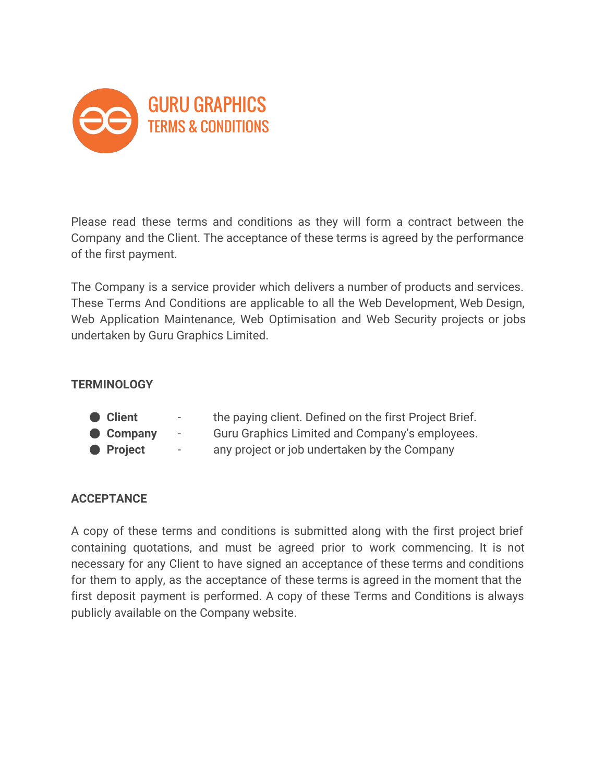

Please read these terms and conditions as they will form a contract between the Company and the Client. The acceptance of these terms is agreed by the performance of the first payment.

The Company is a service provider which delivers a number of products and services. These Terms And Conditions are applicable to all the Web Development, Web Design, Web Application Maintenance, Web Optimisation and Web Security projects or jobs undertaken by Guru Graphics Limited.

#### **TERMINOLOGY**

- **Client the paying client. Defined on the first Project Brief.**
- **Company** Guru Graphics Limited and Company's employees.
- **Project** any project or job undertaken by the Company

## **ACCEPTANCE**

A copy of these terms and conditions is submitted along with the first project brief containing quotations, and must be agreed prior to work commencing. It is not necessary for any Client to have signed an acceptance of these terms and conditions for them to apply, as the acceptance of these terms is agreed in the moment that the first deposit payment is performed. A copy of these Terms and Conditions is always publicly available on the Company website.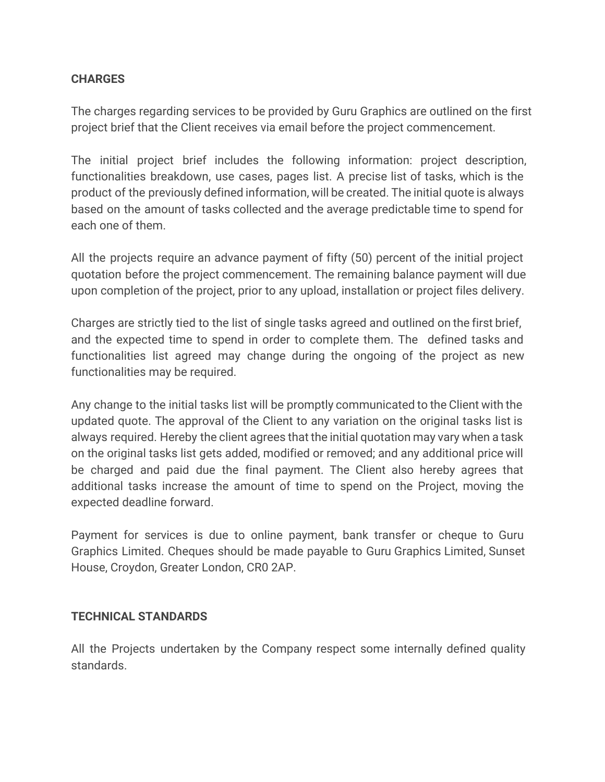## **CHARGES**

The charges regarding services to be provided by Guru Graphics are outlined on the first project brief that the Client receives via email before the project commencement.

The initial project brief includes the following information: project description, functionalities breakdown, use cases, pages list. A precise list of tasks, which is the product of the previously defined information, will be created. The initial quote is always based on the amount of tasks collected and the average predictable time to spend for each one of them.

All the projects require an advance payment of fifty (50) percent of the initial project quotation before the project commencement. The remaining balance payment will due upon completion of the project, prior to any upload, installation or project files delivery.

Charges are strictly tied to the list of single tasks agreed and outlined on the first brief, and the expected time to spend in order to complete them. The defined tasks and functionalities list agreed may change during the ongoing of the project as new functionalities may be required.

Any change to the initial tasks list will be promptly communicated to the Client with the updated quote. The approval of the Client to any variation on the original tasks list is always required. Hereby the client agrees that the initial quotation may vary when a task on the original tasks list gets added, modified or removed; and any additional price will be charged and paid due the final payment. The Client also hereby agrees that additional tasks increase the amount of time to spend on the Project, moving the expected deadline forward.

Payment for services is due to online payment, bank transfer or cheque to Guru Graphics Limited. Cheques should be made payable to Guru Graphics Limited, Sunset House, Croydon, Greater London, CR0 2AP.

## **TECHNICAL STANDARDS**

All the Projects undertaken by the Company respect some internally defined quality standards.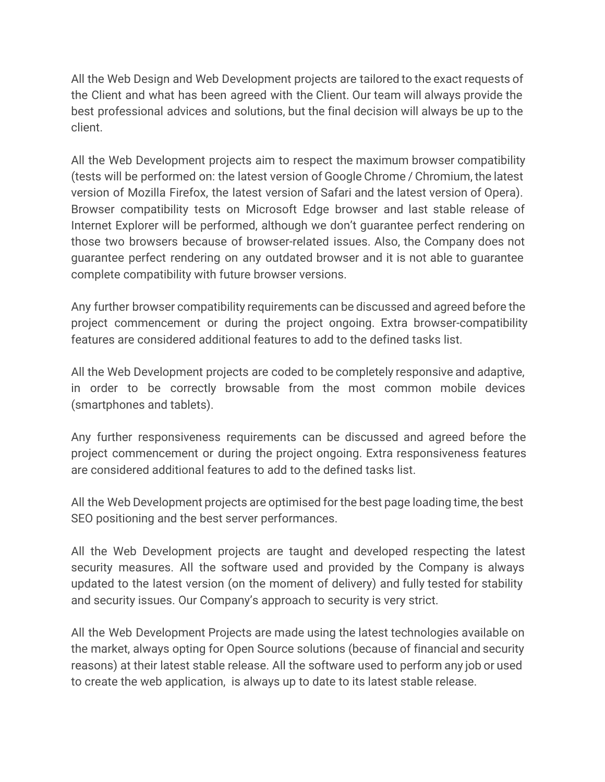All the Web Design and Web Development projects are tailored to the exact requests of the Client and what has been agreed with the Client. Our team will always provide the best professional advices and solutions, but the final decision will always be up to the client.

All the Web Development projects aim to respect the maximum browser compatibility (tests will be performed on: the latest version of Google Chrome / Chromium, the latest version of Mozilla Firefox, the latest version of Safari and the latest version of Opera). Browser compatibility tests on Microsoft Edge browser and last stable release of Internet Explorer will be performed, although we don't guarantee perfect rendering on those two browsers because of browser-related issues. Also, the Company does not guarantee perfect rendering on any outdated browser and it is not able to guarantee complete compatibility with future browser versions.

Any further browser compatibility requirements can be discussed and agreed before the project commencement or during the project ongoing. Extra browser-compatibility features are considered additional features to add to the defined tasks list.

All the Web Development projects are coded to be completely responsive and adaptive, in order to be correctly browsable from the most common mobile devices (smartphones and tablets).

Any further responsiveness requirements can be discussed and agreed before the project commencement or during the project ongoing. Extra responsiveness features are considered additional features to add to the defined tasks list.

All the Web Development projects are optimised for the best page loading time, the best SEO positioning and the best server performances.

All the Web Development projects are taught and developed respecting the latest security measures. All the software used and provided by the Company is always updated to the latest version (on the moment of delivery) and fully tested for stability and security issues. Our Company's approach to security is very strict.

All the Web Development Projects are made using the latest technologies available on the market, always opting for Open Source solutions (because of financial and security reasons) at their latest stable release. All the software used to perform any job or used to create the web application, is always up to date to its latest stable release.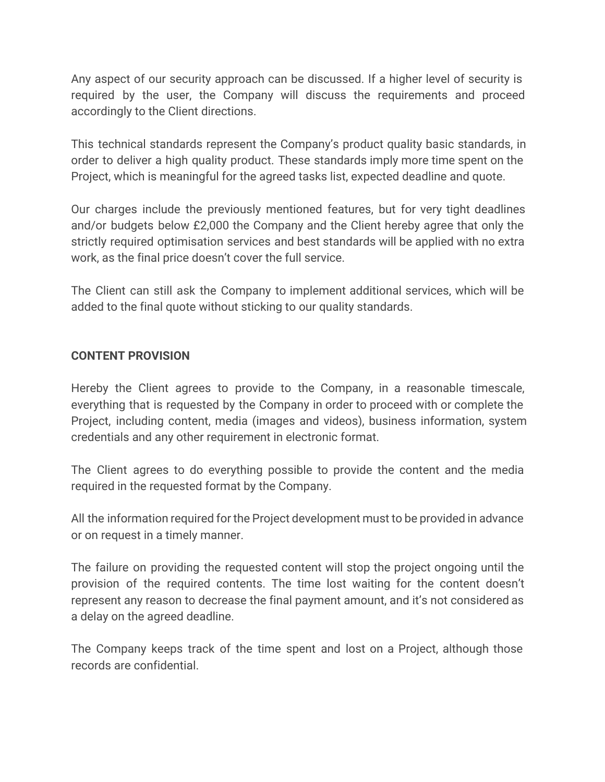Any aspect of our security approach can be discussed. If a higher level of security is required by the user, the Company will discuss the requirements and proceed accordingly to the Client directions.

This technical standards represent the Company's product quality basic standards, in order to deliver a high quality product. These standards imply more time spent on the Project, which is meaningful for the agreed tasks list, expected deadline and quote.

Our charges include the previously mentioned features, but for very tight deadlines and/or budgets below £2,000 the Company and the Client hereby agree that only the strictly required optimisation services and best standards will be applied with no extra work, as the final price doesn't cover the full service.

The Client can still ask the Company to implement additional services, which will be added to the final quote without sticking to our quality standards.

## **CONTENT PROVISION**

Hereby the Client agrees to provide to the Company, in a reasonable timescale, everything that is requested by the Company in order to proceed with or complete the Project, including content, media (images and videos), business information, system credentials and any other requirement in electronic format.

The Client agrees to do everything possible to provide the content and the media required in the requested format by the Company.

All the information required for the Project development must to be provided in advance or on request in a timely manner.

The failure on providing the requested content will stop the project ongoing until the provision of the required contents. The time lost waiting for the content doesn't represent any reason to decrease the final payment amount, and it's not considered as a delay on the agreed deadline.

The Company keeps track of the time spent and lost on a Project, although those records are confidential.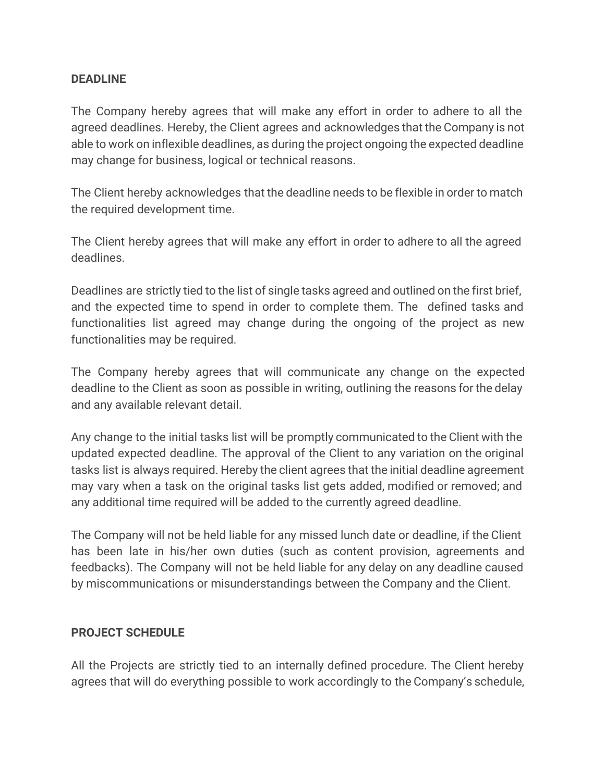#### **DEADLINE**

The Company hereby agrees that will make any effort in order to adhere to all the agreed deadlines. Hereby, the Client agrees and acknowledges that the Company is not able to work on inflexible deadlines, as during the project ongoing the expected deadline may change for business, logical or technical reasons.

The Client hereby acknowledges that the deadline needs to be flexible in order to match the required development time.

The Client hereby agrees that will make any effort in order to adhere to all the agreed deadlines.

Deadlines are strictly tied to the list of single tasks agreed and outlined on the first brief, and the expected time to spend in order to complete them. The defined tasks and functionalities list agreed may change during the ongoing of the project as new functionalities may be required.

The Company hereby agrees that will communicate any change on the expected deadline to the Client as soon as possible in writing, outlining the reasons for the delay and any available relevant detail.

Any change to the initial tasks list will be promptly communicated to the Client with the updated expected deadline. The approval of the Client to any variation on the original tasks list is always required. Hereby the client agrees that the initial deadline agreement may vary when a task on the original tasks list gets added, modified or removed; and any additional time required will be added to the currently agreed deadline.

The Company will not be held liable for any missed lunch date or deadline, if the Client has been late in his/her own duties (such as content provision, agreements and feedbacks). The Company will not be held liable for any delay on any deadline caused by miscommunications or misunderstandings between the Company and the Client.

#### **PROJECT SCHEDULE**

All the Projects are strictly tied to an internally defined procedure. The Client hereby agrees that will do everything possible to work accordingly to the Company's schedule,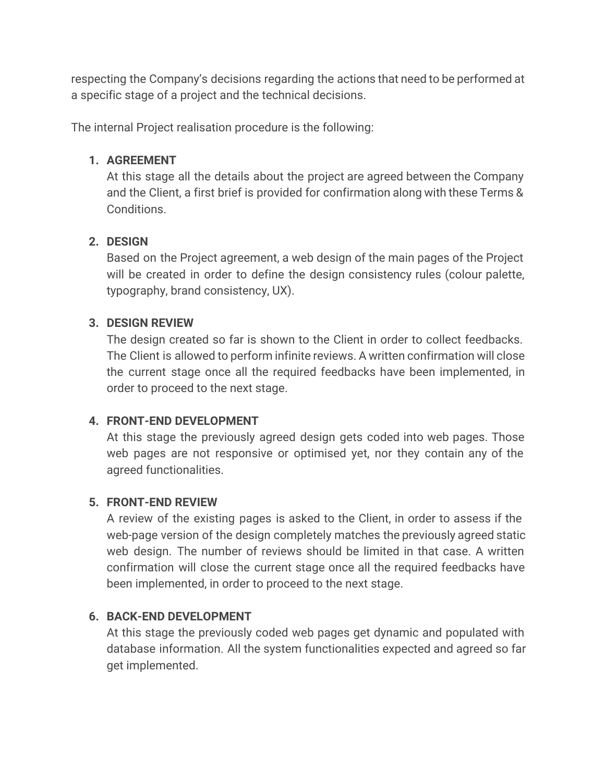respecting the Company's decisions regarding the actions that need to be performed at a specific stage of a project and the technical decisions.

The internal Project realisation procedure is the following:

# **1. AGREEMENT**

At this stage all the details about the project are agreed between the Company and the Client, a first brief is provided for confirmation along with these Terms & Conditions.

# **2. DESIGN**

Based on the Project agreement, a web design of the main pages of the Project will be created in order to define the design consistency rules (colour palette, typography, brand consistency, UX).

# **3. DESIGN REVIEW**

The design created so far is shown to the Client in order to collect feedbacks. The Client is allowed to perform infinite reviews. A written confirmation will close the current stage once all the required feedbacks have been implemented, in order to proceed to the next stage.

# **4. FRONT-END DEVELOPMENT**

At this stage the previously agreed design gets coded into web pages. Those web pages are not responsive or optimised yet, nor they contain any of the agreed functionalities.

# **5. FRONT-END REVIEW**

A review of the existing pages is asked to the Client, in order to assess if the web-page version of the design completely matches the previously agreed static web design. The number of reviews should be limited in that case. A written confirmation will close the current stage once all the required feedbacks have been implemented, in order to proceed to the next stage.

# **6. BACK-END DEVELOPMENT**

At this stage the previously coded web pages get dynamic and populated with database information. All the system functionalities expected and agreed so far get implemented.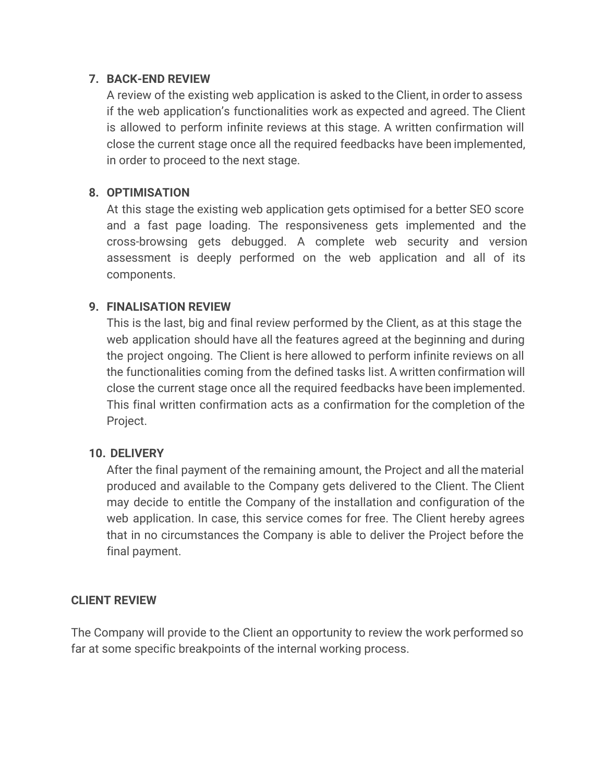#### **7. BACK-END REVIEW**

A review of the existing web application is asked to the Client, in order to assess if the web application's functionalities work as expected and agreed. The Client is allowed to perform infinite reviews at this stage. A written confirmation will close the current stage once all the required feedbacks have been implemented, in order to proceed to the next stage.

## **8. OPTIMISATION**

At this stage the existing web application gets optimised for a better SEO score and a fast page loading. The responsiveness gets implemented and the cross-browsing gets debugged. A complete web security and version assessment is deeply performed on the web application and all of its components.

## **9. FINALISATION REVIEW**

This is the last, big and final review performed by the Client, as at this stage the web application should have all the features agreed at the beginning and during the project ongoing. The Client is here allowed to perform infinite reviews on all the functionalities coming from the defined tasks list. A written confirmation will close the current stage once all the required feedbacks have been implemented. This final written confirmation acts as a confirmation for the completion of the Project.

#### **10. DELIVERY**

After the final payment of the remaining amount, the Project and all the material produced and available to the Company gets delivered to the Client. The Client may decide to entitle the Company of the installation and configuration of the web application. In case, this service comes for free. The Client hereby agrees that in no circumstances the Company is able to deliver the Project before the final payment.

#### **CLIENT REVIEW**

The Company will provide to the Client an opportunity to review the work performed so far at some specific breakpoints of the internal working process.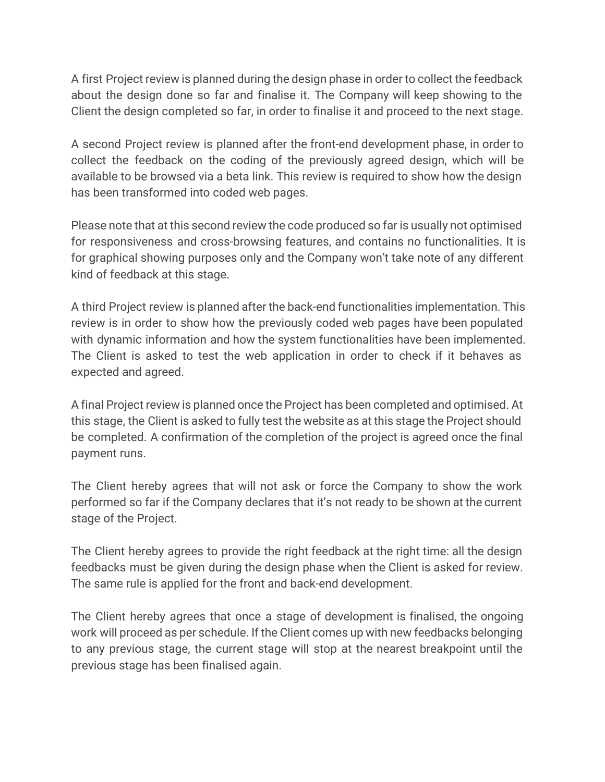A first Project review is planned during the design phase in order to collect the feedback about the design done so far and finalise it. The Company will keep showing to the Client the design completed so far, in order to finalise it and proceed to the next stage.

A second Project review is planned after the front-end development phase, in order to collect the feedback on the coding of the previously agreed design, which will be available to be browsed via a beta link. This review is required to show how the design has been transformed into coded web pages.

Please note that at this second review the code produced so far is usually not optimised for responsiveness and cross-browsing features, and contains no functionalities. It is for graphical showing purposes only and the Company won't take note of any different kind of feedback at this stage.

A third Project review is planned after the back-end functionalities implementation. This review is in order to show how the previously coded web pages have been populated with dynamic information and how the system functionalities have been implemented. The Client is asked to test the web application in order to check if it behaves as expected and agreed.

A final Project review is planned once the Project has been completed and optimised. At this stage, the Client is asked to fully test the website as at this stage the Project should be completed. A confirmation of the completion of the project is agreed once the final payment runs.

The Client hereby agrees that will not ask or force the Company to show the work performed so far if the Company declares that it's not ready to be shown at the current stage of the Project.

The Client hereby agrees to provide the right feedback at the right time: all the design feedbacks must be given during the design phase when the Client is asked for review. The same rule is applied for the front and back-end development.

The Client hereby agrees that once a stage of development is finalised, the ongoing work will proceed as per schedule. If the Client comes up with new feedbacks belonging to any previous stage, the current stage will stop at the nearest breakpoint until the previous stage has been finalised again.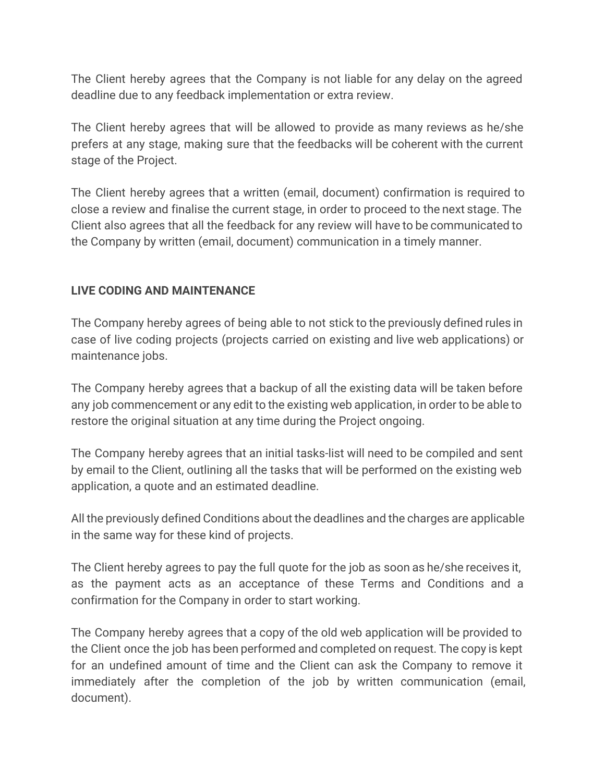The Client hereby agrees that the Company is not liable for any delay on the agreed deadline due to any feedback implementation or extra review.

The Client hereby agrees that will be allowed to provide as many reviews as he/she prefers at any stage, making sure that the feedbacks will be coherent with the current stage of the Project.

The Client hereby agrees that a written (email, document) confirmation is required to close a review and finalise the current stage, in order to proceed to the next stage. The Client also agrees that all the feedback for any review will have to be communicated to the Company by written (email, document) communication in a timely manner.

## **LIVE CODING AND MAINTENANCE**

The Company hereby agrees of being able to not stick to the previously defined rules in case of live coding projects (projects carried on existing and live web applications) or maintenance jobs.

The Company hereby agrees that a backup of all the existing data will be taken before any job commencement or any edit to the existing web application, in order to be able to restore the original situation at any time during the Project ongoing.

The Company hereby agrees that an initial tasks-list will need to be compiled and sent by email to the Client, outlining all the tasks that will be performed on the existing web application, a quote and an estimated deadline.

All the previously defined Conditions about the deadlines and the charges are applicable in the same way for these kind of projects.

The Client hereby agrees to pay the full quote for the job as soon as he/she receives it, as the payment acts as an acceptance of these Terms and Conditions and a confirmation for the Company in order to start working.

The Company hereby agrees that a copy of the old web application will be provided to the Client once the job has been performed and completed on request. The copy is kept for an undefined amount of time and the Client can ask the Company to remove it immediately after the completion of the job by written communication (email, document).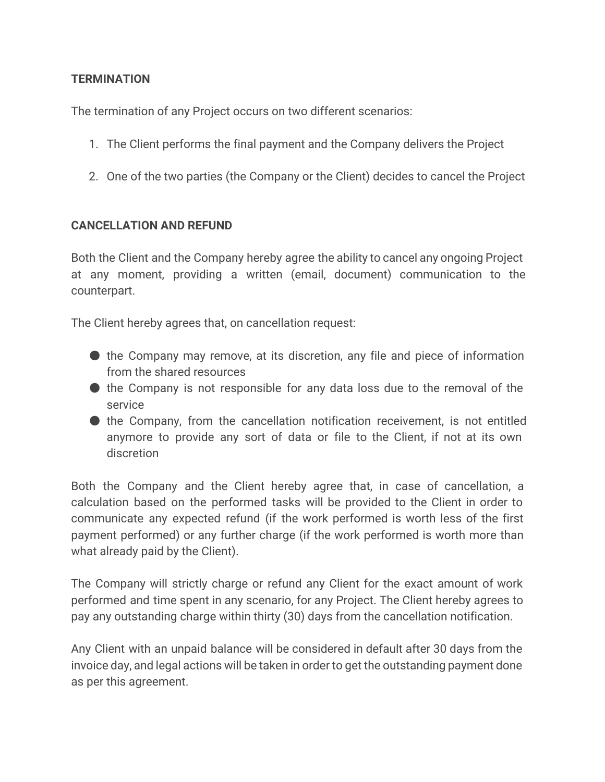## **TERMINATION**

The termination of any Project occurs on two different scenarios:

- 1. The Client performs the final payment and the Company delivers the Project
- 2. One of the two parties (the Company or the Client) decides to cancel the Project

## **CANCELLATION AND REFUND**

Both the Client and the Company hereby agree the ability to cancel any ongoing Project at any moment, providing a written (email, document) communication to the counterpart.

The Client hereby agrees that, on cancellation request:

- $\bullet$  the Company may remove, at its discretion, any file and piece of information from the shared resources
- the Company is not responsible for any data loss due to the removal of the service
- the Company, from the cancellation notification receivement, is not entitled anymore to provide any sort of data or file to the Client, if not at its own discretion

Both the Company and the Client hereby agree that, in case of cancellation, a calculation based on the performed tasks will be provided to the Client in order to communicate any expected refund (if the work performed is worth less of the first payment performed) or any further charge (if the work performed is worth more than what already paid by the Client).

The Company will strictly charge or refund any Client for the exact amount of work performed and time spent in any scenario, for any Project. The Client hereby agrees to pay any outstanding charge within thirty (30) days from the cancellation notification.

Any Client with an unpaid balance will be considered in default after 30 days from the invoice day, and legal actions will be taken in order to get the outstanding payment done as per this agreement.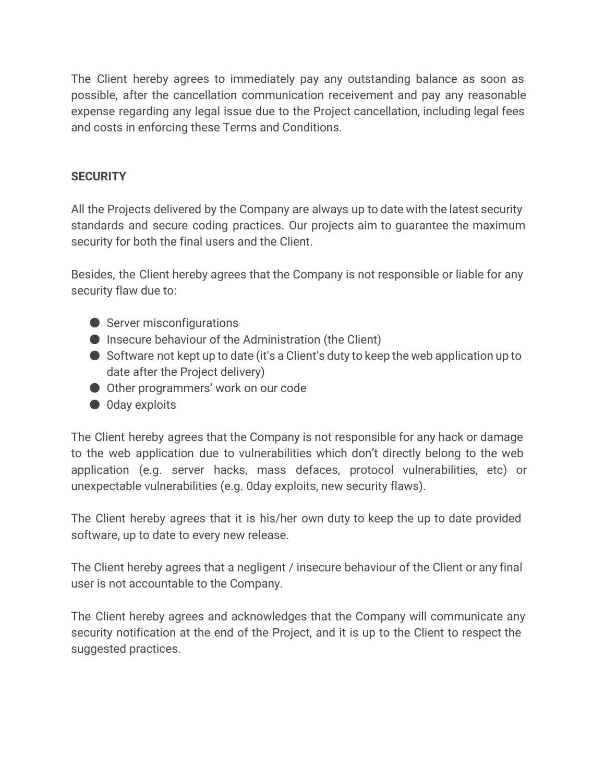The Client hereby agrees to immediately pay any outstanding balance as soon as possible, after the cancellation communication receivement and pay any reasonable expense regarding any legal issue due to the Project cancellation, including legal fees and costs in enforcing these Terms and Conditions.

## **SECURITY**

All the Projects delivered by the Company are always up to date with the latest security standards and secure coding practices. Our projects aim to guarantee the maximum security for both the final users and the Client.

Besides, the Client hereby agrees that the Company is not responsible or liable for any security flaw due to:

- Server misconfigurations
- Insecure behaviour of the Administration (the Client)
- Software not kept up to date (it's a Client's duty to keep the web application up to date after the Project delivery)
- Other programmers' work on our code
- 0day exploits

The Client hereby agrees that the Company is not responsible for any hack or damage to the web application due to vulnerabilities which don't directly belong to the web application (e.g. server hacks, mass defaces, protocol vulnerabilities, etc) or unexpectable vulnerabilities (e.g. 0day exploits, new security flaws).

The Client hereby agrees that it is his/her own duty to keep the up to date provided software, up to date to every new release.

The Client hereby agrees that a negligent / insecure behaviour of the Client or any final user is not accountable to the Company.

The Client hereby agrees and acknowledges that the Company will communicate any security notification at the end of the Project, and it is up to the Client to respect the suggested practices.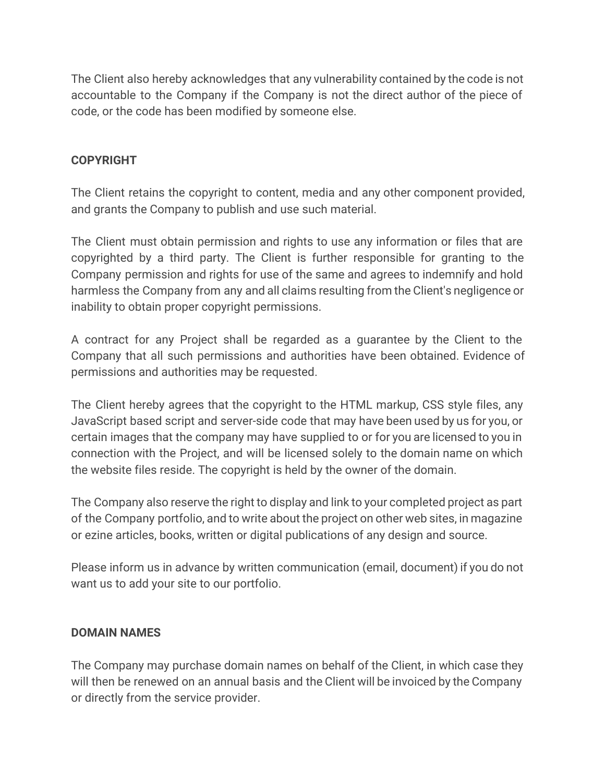The Client also hereby acknowledges that any vulnerability contained by the code is not accountable to the Company if the Company is not the direct author of the piece of code, or the code has been modified by someone else.

## **COPYRIGHT**

The Client retains the copyright to content, media and any other component provided, and grants the Company to publish and use such material.

The Client must obtain permission and rights to use any information or files that are copyrighted by a third party. The Client is further responsible for granting to the Company permission and rights for use of the same and agrees to indemnify and hold harmless the Company from any and all claims resulting from the Client's negligence or inability to obtain proper copyright permissions.

A contract for any Project shall be regarded as a guarantee by the Client to the Company that all such permissions and authorities have been obtained. Evidence of permissions and authorities may be requested.

The Client hereby agrees that the copyright to the HTML markup, CSS style files, any JavaScript based script and server-side code that may have been used by us for you, or certain images that the company may have supplied to or for you are licensed to you in connection with the Project, and will be licensed solely to the domain name on which the website files reside. The copyright is held by the owner of the domain.

The Company also reserve the right to display and link to your completed project as part of the Company portfolio, and to write about the project on other web sites, in magazine or ezine articles, books, written or digital publications of any design and source.

Please inform us in advance by written communication (email, document) if you do not want us to add your site to our portfolio.

## **DOMAIN NAMES**

The Company may purchase domain names on behalf of the Client, in which case they will then be renewed on an annual basis and the Client will be invoiced by the Company or directly from the service provider.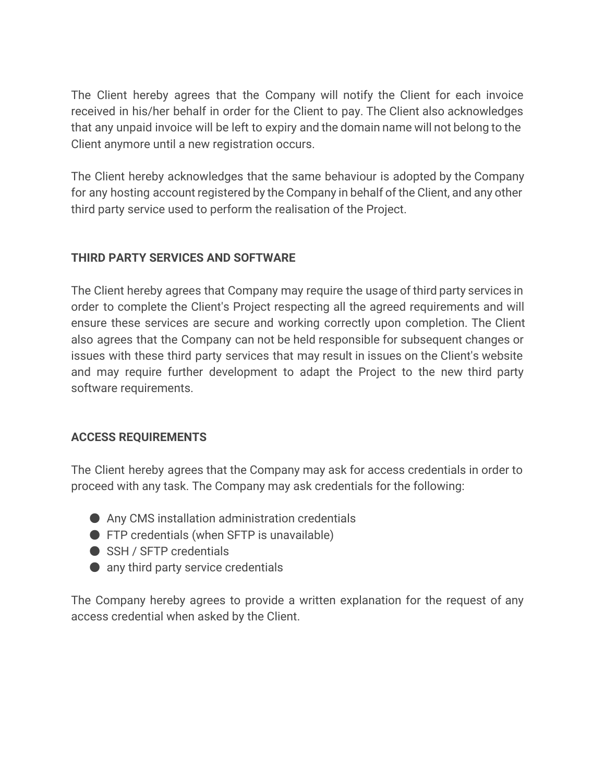The Client hereby agrees that the Company will notify the Client for each invoice received in his/her behalf in order for the Client to pay. The Client also acknowledges that any unpaid invoice will be left to expiry and the domain name will not belong to the Client anymore until a new registration occurs.

The Client hereby acknowledges that the same behaviour is adopted by the Company for any hosting account registered by the Company in behalf of the Client, and any other third party service used to perform the realisation of the Project.

## **THIRD PARTY SERVICES AND SOFTWARE**

The Client hereby agrees that Company may require the usage of third party services in order to complete the Client's Project respecting all the agreed requirements and will ensure these services are secure and working correctly upon completion. The Client also agrees that the Company can not be held responsible for subsequent changes or issues with these third party services that may result in issues on the Client's website and may require further development to adapt the Project to the new third party software requirements.

# **ACCESS REQUIREMENTS**

The Client hereby agrees that the Company may ask for access credentials in order to proceed with any task. The Company may ask credentials for the following:

- Any CMS installation administration credentials
- FTP credentials (when SFTP is unavailable)
- SSH / SFTP credentials
- $\bullet$  any third party service credentials

The Company hereby agrees to provide a written explanation for the request of any access credential when asked by the Client.